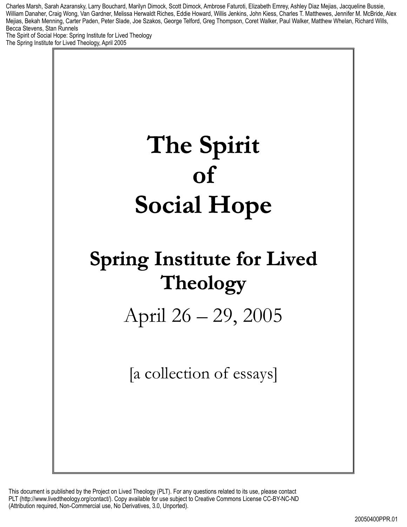Charles Marsh, Sarah Azaransky, Larry Bouchard, Marilyn Dimock, Scott Dimock, Ambrose Faturoti, Elizabeth Emrey, Ashley Diaz Mejias, Jacqueline Bussie, William Danaher, Craig Wong, Van Gardner, Melissa Herwaldt Riches, Eddie Howard, Willis Jenkins, John Kiess, Charles T. Matthewes, Jennifer M. McBride, Alex Mejias, Bekah Menning, Carter Paden, Peter Slade, Joe Szakos, George Telford, Greg Thompson, Coret Walker, Paul Walker, Matthew Whelan, Richard Wills, Becca Stevens, Stan Runnels

The Spirit of Social Hope: Spring Institute for Lived Theology The Spring Institute for Lived Theology, April 2005

# **The Spirit of Social Hope**

## **Spring Institute for Lived Theology**

April 26 – 29, 2005

[a collection of essays]

This document is published by the Project on Lived Theology (PLT). For any questions related to its use, please contact PLT (http://www.livedtheology.org/contact/). Copy available for use subject to Creative Commons License CC-BY-NC-ND (Attribution required, Non-Commercial use, No Derivatives, 3.0, Unported).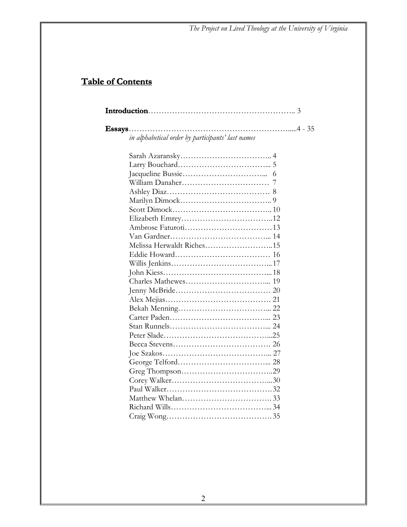### **Table of Contents**

| in alphabetical order by participants' last names |  |
|---------------------------------------------------|--|
|                                                   |  |
|                                                   |  |
|                                                   |  |
|                                                   |  |
|                                                   |  |
|                                                   |  |
|                                                   |  |
|                                                   |  |
|                                                   |  |
|                                                   |  |
| Melissa Herwaldt Riches15                         |  |
|                                                   |  |
|                                                   |  |
|                                                   |  |
|                                                   |  |
|                                                   |  |
|                                                   |  |
|                                                   |  |
|                                                   |  |
|                                                   |  |
|                                                   |  |
|                                                   |  |
|                                                   |  |
|                                                   |  |
|                                                   |  |
|                                                   |  |
|                                                   |  |
|                                                   |  |
|                                                   |  |
|                                                   |  |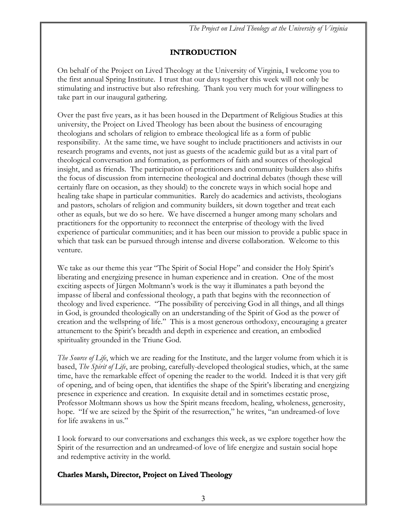#### **INTRODUCTION**

On behalf of the Project on Lived Theology at the University of Virginia, I welcome you to the first annual Spring Institute. I trust that our days together this week will not only be stimulating and instructive but also refreshing. Thank you very much for your willingness to take part in our inaugural gathering.

Over the past five years, as it has been housed in the Department of Religious Studies at this university, the Project on Lived Theology has been about the business of encouraging theologians and scholars of religion to embrace theological life as a form of public responsibility. At the same time, we have sought to include practitioners and activists in our research programs and events, not just as guests of the academic guild but as a vital part of theological conversation and formation, as performers of faith and sources of theological insight, and as friends. The participation of practitioners and community builders also shifts the focus of discussion from internecine theological and doctrinal debates (though these will certainly flare on occasion, as they should) to the concrete ways in which social hope and healing take shape in particular communities. Rarely do academics and activists, theologians and pastors, scholars of religion and community builders, sit down together and treat each other as equals, but we do so here. We have discerned a hunger among many scholars and practitioners for the opportunity to reconnect the enterprise of theology with the lived experience of particular communities; and it has been our mission to provide a public space in which that task can be pursued through intense and diverse collaboration. Welcome to this venture.

We take as our theme this year "The Spirit of Social Hope" and consider the Holy Spirit's liberating and energizing presence in human experience and in creation. One of the most exciting aspects of Jürgen Moltmann's work is the way it illuminates a path beyond the impasse of liberal and confessional theology, a path that begins with the reconnection of theology and lived experience. "The possibility of perceiving God in all things, and all things in God, is grounded theologically on an understanding of the Spirit of God as the power of creation and the wellspring of life." This is a most generous orthodoxy, encouraging a greater attunement to the Spirit's breadth and depth in experience and creation, an embodied spirituality grounded in the Triune God.

*The Source of Life*, which we are reading for the Institute, and the larger volume from which it is based, *The Spirit of Life*, are probing, carefully-developed theological studies, which, at the same time, have the remarkable effect of opening the reader to the world. Indeed it is that very gift of opening, and of being open, that identifies the shape of the Spirit's liberating and energizing presence in experience and creation. In exquisite detail and in sometimes ecstatic prose, Professor Moltmann shows us how the Spirit means freedom, healing, wholeness, generosity, hope. "If we are seized by the Spirit of the resurrection," he writes, "an undreamed-of love for life awakens in us."

I look forward to our conversations and exchanges this week, as we explore together how the Spirit of the resurrection and an undreamed-of love of life energize and sustain social hope and redemptive activity in the world.

#### **Charles Marsh, Director, Project on Lived Theology**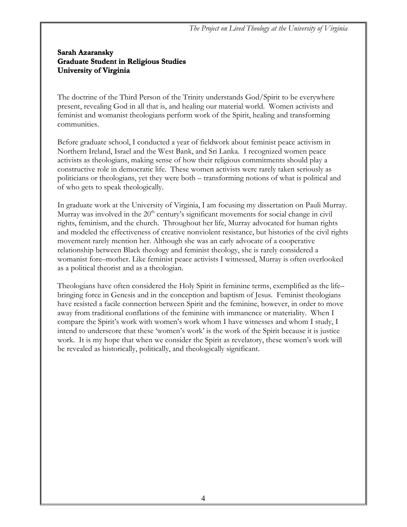#### **Sarah Azaransky Graduate Student in Religious Studies University of Virginia**

The doctrine of the Third Person of the Trinity understands God/Spirit to be everywhere present, revealing God in all that is, and healing our material world. Women activists and feminist and womanist theologians perform work of the Spirit, healing and transforming communities.

Before graduate school, I conducted a year of fieldwork about feminist peace activism in Northern Ireland, Israel and the West Bank, and Sri Lanka. I recognized women peace activists as theologians, making sense of how their religious commitments should play a constructive role in democratic life. These women activists were rarely taken seriously as politicians or theologians, yet they were both – transforming notions of what is political and of who gets to speak theologically.

In graduate work at the University of Virginia, I am focusing my dissertation on Pauli Murray. Murray was involved in the  $20<sup>th</sup>$  century's significant movements for social change in civil rights, feminism, and the church. Throughout her life, Murray advocated for human rights and modeled the effectiveness of creative nonviolent resistance, but histories of the civil rights movement rarely mention her. Although she was an early advocate of a cooperative relationship between Black theology and feminist theology, she is rarely considered a womanist fore–mother. Like feminist peace activists I witnessed, Murray is often overlooked as a political theorist and as a theologian.

Theologians have often considered the Holy Spirit in feminine terms, exemplified as the life– bringing force in Genesis and in the conception and baptism of Jesus. Feminist theologians have resisted a facile connection between Spirit and the feminine, however, in order to move away from traditional conflations of the feminine with immanence or materiality. When I compare the Spirit's work with women's work whom I have witnesses and whom I study, I intend to underscore that these 'women's work' is the work of the Spirit because it is justice work. It is my hope that when we consider the Spirit as revelatory, these women's work will be revealed as historically, politically, and theologically significant.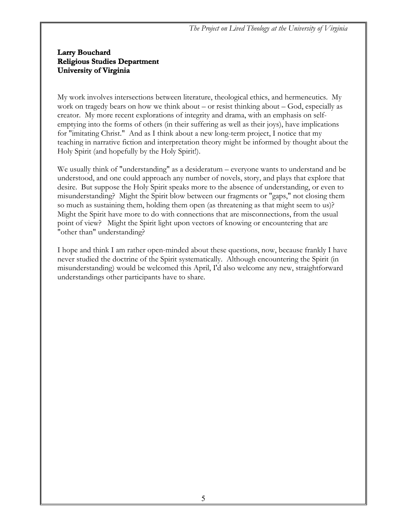#### **Larry Bouchard Religious Studies Department University of Virginia**

My work involves intersections between literature, theological ethics, and hermeneutics. My work on tragedy bears on how we think about – or resist thinking about – God, especially as creator. My more recent explorations of integrity and drama, with an emphasis on selfemptying into the forms of others (in their suffering as well as their joys), have implications for "imitating Christ." And as I think about a new long-term project, I notice that my teaching in narrative fiction and interpretation theory might be informed by thought about the Holy Spirit (and hopefully by the Holy Spirit!).

We usually think of "understanding" as a desideratum – everyone wants to understand and be understood, and one could approach any number of novels, story, and plays that explore that desire. But suppose the Holy Spirit speaks more to the absence of understanding, or even to misunderstanding? Might the Spirit blow between our fragments or "gaps," not closing them so much as sustaining them, holding them open (as threatening as that might seem to us)? Might the Spirit have more to do with connections that are misconnections, from the usual point of view? Might the Spirit light upon vectors of knowing or encountering that are "other than" understanding?

I hope and think I am rather open-minded about these questions, now, because frankly I have never studied the doctrine of the Spirit systematically. Although encountering the Spirit (in misunderstanding) would be welcomed this April, I'd also welcome any new, straightforward understandings other participants have to share.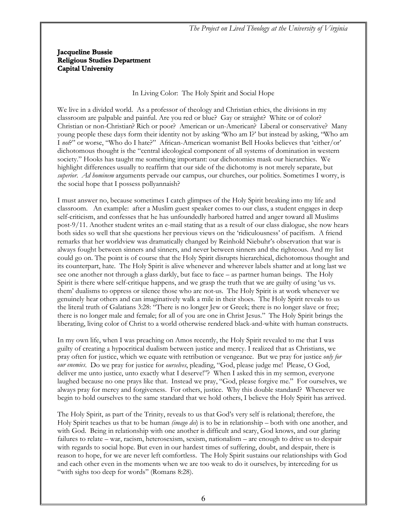#### **Jacqueline Bussie Religious Studies Department Capital University**

#### In Living Color: The Holy Spirit and Social Hope

We live in a divided world. As a professor of theology and Christian ethics, the divisions in my classroom are palpable and painful. Are you red or blue? Gay or straight? White or of color? Christian or non-Christian? Rich or poor? American or un-American? Liberal or conservative? Many young people these days form their identity not by asking 'Who am I?' but instead by asking, "Who am I *not*?" or worse, "Who do I hate?" African-American womanist Bell Hooks believes that 'either/or' dichotomous thought is the "central ideological component of all systems of domination in western society." Hooks has taught me something important: our dichotomies mask our hierarchies. We highlight differences usually to reaffirm that our side of the dichotomy is not merely separate, but *superior*. *Ad hominem* arguments pervade our campus, our churches, our politics. Sometimes I worry, is the social hope that I possess pollyannaish?

I must answer no, because sometimes I catch glimpses of the Holy Spirit breaking into my life and classroom. An example: after a Muslim guest speaker comes to our class, a student engages in deep self-criticism, and confesses that he has unfoundedly harbored hatred and anger toward all Muslims post-9/11. Another student writes an e-mail stating that as a result of our class dialogue, she now hears both sides so well that she questions her previous views on the 'ridiculousness' of pacifism. A friend remarks that her worldview was dramatically changed by Reinhold Niebuhr's observation that war is always fought between sinners and sinners, and never between sinners and the righteous. And my list could go on. The point is of course that the Holy Spirit disrupts hierarchical, dichotomous thought and its counterpart, hate. The Holy Spirit is alive whenever and wherever labels shatter and at long last we see one another not through a glass darkly, but face to face – as partner human beings. The Holy Spirit is there where self-critique happens, and we grasp the truth that we are guilty of using 'us vs. them' dualisms to oppress or silence those who are not-us. The Holy Spirit is at work whenever we genuinely hear others and can imaginatively walk a mile in their shoes. The Holy Spirit reveals to us the literal truth of Galatians 3:28: "There is no longer Jew or Greek; there is no longer slave or free; there is no longer male and female; for all of you are one in Christ Jesus." The Holy Spirit brings the liberating, living color of Christ to a world otherwise rendered black-and-white with human constructs.

In my own life, when I was preaching on Amos recently, the Holy Spirit revealed to me that I was guilty of creating a hypocritical dualism between justice and mercy. I realized that as Christians, we pray often for justice, which we equate with retribution or vengeance. But we pray for justice *only for our enemies*. Do we pray for justice for *ourselves*, pleading, "God, please judge me! Please, O God, deliver me unto justice, unto exactly what I deserve!"? When I asked this in my sermon, everyone laughed because no one prays like that. Instead we pray, "God, please forgive me." For ourselves, we always pray for mercy and forgiveness. For others, justice. Why this double standard? Whenever we begin to hold ourselves to the same standard that we hold others, I believe the Holy Spirit has arrived.

The Holy Spirit, as part of the Trinity, reveals to us that God's very self is relational; therefore, the Holy Spirit teaches us that to be human *(imago dei*) is to be in relationship – both with one another, and with God. Being in relationship with one another is difficult and scary, God knows, and our glaring failures to relate – war, racism, heterosexism, sexism, nationalism – are enough to drive us to despair with regards to social hope. But even in our hardest times of suffering, doubt, and despair, there is reason to hope, for we are never left comfortless. The Holy Spirit sustains our relationships with God and each other even in the moments when we are too weak to do it ourselves, by interceding for us "with sighs too deep for words" (Romans 8:28).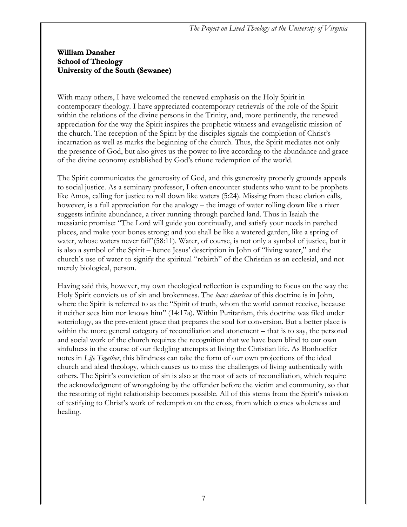#### **William Danaher School of Theology University of the South (Sewanee)**

With many others, I have welcomed the renewed emphasis on the Holy Spirit in contemporary theology. I have appreciated contemporary retrievals of the role of the Spirit within the relations of the divine persons in the Trinity, and, more pertinently, the renewed appreciation for the way the Spirit inspires the prophetic witness and evangelistic mission of the church. The reception of the Spirit by the disciples signals the completion of Christ's incarnation as well as marks the beginning of the church. Thus, the Spirit mediates not only the presence of God, but also gives us the power to live according to the abundance and grace of the divine economy established by God's triune redemption of the world.

The Spirit communicates the generosity of God, and this generosity properly grounds appeals to social justice. As a seminary professor, I often encounter students who want to be prophets like Amos, calling for justice to roll down like waters (5:24). Missing from these clarion calls, however, is a full appreciation for the analogy – the image of water rolling down like a river suggests infinite abundance, a river running through parched land. Thus in Isaiah the messianic promise: "The Lord will guide you continually, and satisfy your needs in parched places, and make your bones strong; and you shall be like a watered garden, like a spring of water, whose waters never fail"(58:11). Water, of course, is not only a symbol of justice, but it is also a symbol of the Spirit – hence Jesus' description in John of "living water," and the church's use of water to signify the spiritual "rebirth" of the Christian as an ecclesial, and not merely biological, person.

Having said this, however, my own theological reflection is expanding to focus on the way the Holy Spirit convicts us of sin and brokenness. The *locus classicus* of this doctrine is in John, where the Spirit is referred to as the "Spirit of truth, whom the world cannot receive, because it neither sees him nor knows him" (14:17a). Within Puritanism, this doctrine was filed under soteriology, as the prevenient grace that prepares the soul for conversion. But a better place is within the more general category of reconciliation and atonement – that is to say, the personal and social work of the church requires the recognition that we have been blind to our own sinfulness in the course of our fledgling attempts at living the Christian life. As Bonhoeffer notes in *Life Together*, this blindness can take the form of our own projections of the ideal church and ideal theology, which causes us to miss the challenges of living authentically with others. The Spirit's conviction of sin is also at the root of acts of reconciliation, which require the acknowledgment of wrongdoing by the offender before the victim and community, so that the restoring of right relationship becomes possible. All of this stems from the Spirit's mission of testifying to Christ's work of redemption on the cross, from which comes wholeness and healing.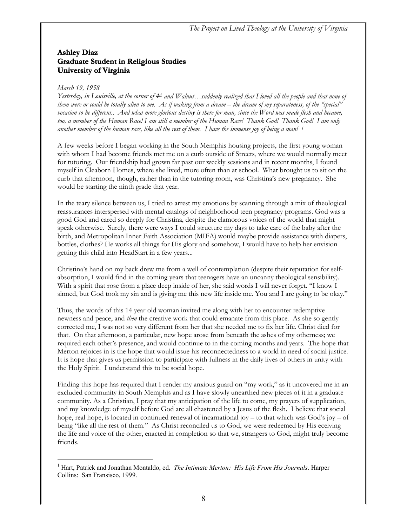#### **Ashley Diaz Graduate Student in Religious Studies University of Virginia**

#### *March 19, 1958*

 $\overline{a}$ 

*Yesterday, in Louisville, at the corner of 4th and Walnut…suddenly realized that I loved all the people and that none of them were or could be totally alien to me. As if waking from a dream – the dream of my separateness, of the "special"*  vocation to be different.. And what more glorious destiny is there for man, since the Word was made flesh and became, *too, a member of the Human Race! I am still a member of the Human Race! Thank God! Thank God! I am only another member of the human race, like all the rest of them. I have the immense joy of being a man! 1*

A few weeks before I began working in the South Memphis housing projects, the first young woman with whom I had become friends met me on a curb outside of Streets, where we would normally meet for tutoring. Our friendship had grown far past our weekly sessions and in recent months, I found myself in Cleaborn Homes, where she lived, more often than at school. What brought us to sit on the curb that afternoon, though, rather than in the tutoring room, was Christina's new pregnancy. She would be starting the ninth grade that year.

In the teary silence between us, I tried to arrest my emotions by scanning through a mix of theological reassurances interspersed with mental catalogs of neighborhood teen pregnancy programs. God was a good God and cared so deeply for Christina, despite the clamorous voices of the world that might speak otherwise. Surely, there were ways I could structure my days to take care of the baby after the birth, and Metropolitan Inner Faith Association (MIFA) would maybe provide assistance with diapers, bottles, clothes? He works all things for His glory and somehow, I would have to help her envision getting this child into HeadStart in a few years...

Christina's hand on my back drew me from a well of contemplation (despite their reputation for selfabsorption, I would find in the coming years that teenagers have an uncanny theological sensibility). With a spirit that rose from a place deep inside of her, she said words I will never forget. "I know I sinned, but God took my sin and is giving me this new life inside me. You and I are going to be okay."

Thus, the words of this 14 year old woman invited me along with her to encounter redemptive newness and peace, and *then* the creative work that could emanate from this place. As she so gently corrected me, I was not so very different from her that she needed me to fix her life. Christ died for that. On that afternoon, a particular, new hope arose from beneath the ashes of my otherness; we required each other's presence, and would continue to in the coming months and years. The hope that Merton rejoices in is the hope that would issue his reconnectedness to a world in need of social justice. It is hope that gives us permission to participate with fullness in the daily lives of others in unity with the Holy Spirit. I understand this to be social hope.

Finding this hope has required that I render my anxious guard on "my work," as it uncovered me in an excluded community in South Memphis and as I have slowly unearthed new pieces of it in a graduate community. As a Christian, I pray that my anticipation of the life to come, my prayers of supplication, and my knowledge of myself before God are all chastened by a Jesus of the flesh. I believe that social hope, real hope, is located in continued renewal of incarnational joy – to that which was God's joy – of being "like all the rest of them." As Christ reconciled us to God, we were redeemed by His eceiving the life and voice of the other, enacted in completion so that we, strangers to God, might truly become friends.

<sup>&</sup>lt;sup>1</sup> Hart, Patrick and Jonathan Montaldo, ed. *The Intimate Merton: His Life From His Journals*. Harper Collins: San Fransisco, 1999.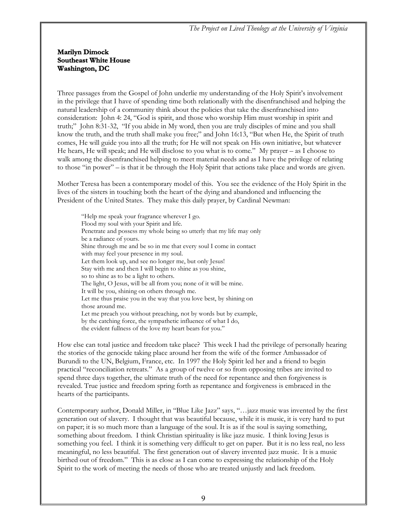#### **Marilyn Dimock Southeast White House Washington, DC**

Three passages from the Gospel of John underlie my understanding of the Holy Spirit's involvement in the privilege that I have of spending time both relationally with the disenfranchised and helping the natural leadership of a community think about the policies that take the disenfranchised into consideration: John 4: 24, "God is spirit, and those who worship Him must worship in spirit and truth;" John 8:31-32, "If you abide in My word, then you are truly disciples of mine and you shall know the truth, and the truth shall make you free;" and John 16:13, "But when He, the Spirit of truth comes, He will guide you into all the truth; for He will not speak on His own initiative, but whatever He hears, He will speak; and He will disclose to you what is to come." My prayer – as I choose to walk among the disenfranchised helping to meet material needs and as I have the privilege of relating to those "in power" – is that it be through the Holy Spirit that actions take place and words are given.

Mother Teresa has been a contemporary model of this. You see the evidence of the Holy Spirit in the lives of the sisters in touching both the heart of the dying and abandoned and influencing the President of the United States. They make this daily prayer, by Cardinal Newman:

"Help me speak your fragrance wherever I go. Flood my soul with your Spirit and life. Penetrate and possess my whole being so utterly that my life may only be a radiance of yours. Shine through me and be so in me that every soul I come in contact with may feel your presence in my soul. Let them look up, and see no longer me, but only Jesus! Stay with me and then I will begin to shine as you shine, so to shine as to be a light to others. The light, O Jesus, will be all from you; none of it will be mine. It will be you, shining on others through me. Let me thus praise you in the way that you love best, by shining on those around me. Let me preach you without preaching, not by words but by example, by the catching force, the sympathetic influence of what I do, the evident fullness of the love my heart bears for you."

How else can total justice and freedom take place? This week I had the privilege of personally hearing the stories of the genocide taking place around her from the wife of the former Ambassador of Burundi to the UN, Belgium, France, etc. In 1997 the Holy Spirit led her and a friend to begin practical "reconciliation retreats." As a group of twelve or so from opposing tribes are invited to spend three days together, the ultimate truth of the need for repentance and then forgiveness is revealed. True justice and freedom spring forth as repentance and forgiveness is embraced in the hearts of the participants.

Contemporary author, Donald Miller, in "Blue Like Jazz" says, "…jazz music was invented by the first generation out of slavery. I thought that was beautiful because, while it is music, it is very hard to put on paper; it is so much more than a language of the soul. It is as if the soul is saying something, something about freedom. I think Christian spirituality is like jazz music. I think loving Jesus is something you feel. I think it is something very difficult to get on paper. But it is no less real, no less meaningful, no less beautiful. The first generation out of slavery invented jazz music. It is a music birthed out of freedom." This is as close as I can come to expressing the relationship of the Holy Spirit to the work of meeting the needs of those who are treated unjustly and lack freedom.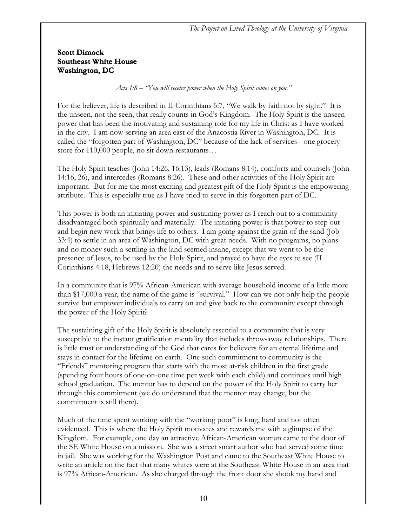#### **Scott Dimock Southeast White House Washington, DC**

*Acts 1:8 – "You will receive power when the Holy Spirit comes on you."*

For the believer, life is described in II Corinthians 5:7, "We walk by faith not by sight." It is the unseen, not the seen, that really counts in God's Kingdom. The Holy Spirit is the unseen power that has been the motivating and sustaining role for my life in Christ as I have worked in the city. I am now serving an area east of the Anacostia River in Washington, DC. It is called the "forgotten part of Washington, DC" because of the lack of services - one grocery store for 110,000 people, no sit down restaurants…

The Holy Spirit teaches (John 14:26, 16:13), leads (Romans 8:14), comforts and counsels (John 14:16, 26), and intercedes (Romans 8:26). These and other activities of the Holy Spirit are important. But for me the most exciting and greatest gift of the Holy Spirit is the empowering attribute. This is especially true as I have tried to serve in this forgotten part of DC.

This power is both an initiating power and sustaining power as I reach out to a community disadvantaged both spiritually and materially. The initiating power is that power to step out and begin new work that brings life to others. I am going against the grain of the sand (Job 33:4) to settle in an area of Washington, DC with great needs. With no programs, no plans and no money such a settling in the land seemed insane, except that we went to be the presence of Jesus, to be used by the Holy Spirit, and prayed to have the eyes to see (II Corinthians 4:18, Hebrews 12:20) the needs and to serve like Jesus served.

In a community that is 97% African-American with average household income of a little more than \$17,000 a year, the name of the game is "survival." How can we not only help the people survive but empower individuals to carry on and give back to the community except through the power of the Holy Spirit?

The sustaining gift of the Holy Spirit is absolutely essential to a community that is very susceptible to the instant gratification mentality that includes throw-away relationships. There is little trust or understanding of the God that cares for believers for an eternal lifetime and stays in contact for the lifetime on earth. One such commitment to community is the "Friends" mentoring program that starts with the most at-risk children in the first grade (spending four hours of one-on-one time per week with each child) and continues until high school graduation. The mentor has to depend on the power of the Holy Spirit to carry her through this commitment (we do understand that the mentor may change, but the commitment is still there).

Much of the time spent working with the "working poor" is long, hard and not often evidenced. This is where the Holy Spirit motivates and rewards me with a glimpse of the Kingdom. For example, one day an attractive African-American woman came to the door of the SE White House on a mission. She was a street smart author who had served some time in jail. She was working for the Washington Post and came to the Southeast White House to write an article on the fact that many whites were at the Southeast White House in an area that is 97% African-American. As she charged through the front door she shook my hand and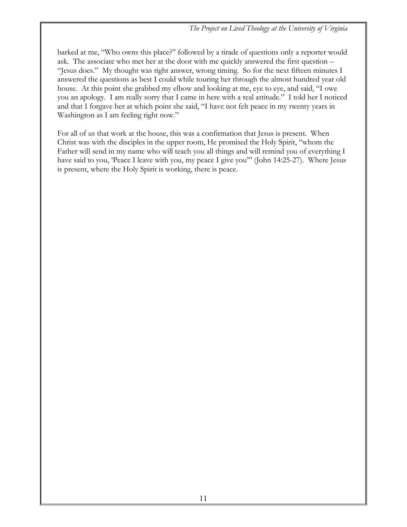barked at me, "Who owns this place?" followed by a tirade of questions only a reporter would ask. The associate who met her at the door with me quickly answered the first question – "Jesus does." My thought was right answer, wrong timing. So for the next fifteen minutes I answered the questions as best I could while touring her through the almost hundred year old house. At this point she grabbed my elbow and looking at me, eye to eye, and said, "I owe you an apology. I am really sorry that I came in here with a real attitude." I told her I noticed and that I forgave her at which point she said, "I have not felt peace in my twenty years in Washington as I am feeling right now."

For all of us that work at the house, this was a confirmation that Jesus is present. When Christ was with the disciples in the upper room, He promised the Holy Spirit, "whom the Father will send in my name who will teach you all things and will remind you of everything I have said to you, 'Peace I leave with you, my peace I give you'" (John 14:25-27). Where Jesus is present, where the Holy Spirit is working, there is peace.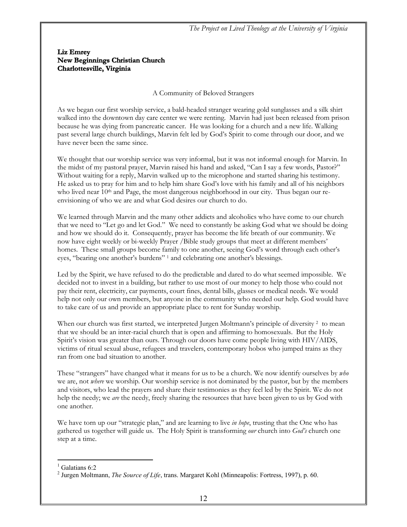#### **Liz Emrey New Beginnings Christian Church Charlottesville, Virginia**

#### A Community of Beloved Strangers

As we began our first worship service, a bald-headed stranger wearing gold sunglasses and a silk shirt walked into the downtown day care center we were renting. Marvin had just been released from prison because he was dying from pancreatic cancer. He was looking for a church and a new life. Walking past several large church buildings, Marvin felt led by God's Spirit to come through our door, and we have never been the same since.

We thought that our worship service was very informal, but it was not informal enough for Marvin. In the midst of my pastoral prayer, Marvin raised his hand and asked, "Can I say a few words, Pastor?" Without waiting for a reply, Marvin walked up to the microphone and started sharing his testimony. He asked us to pray for him and to help him share God's love with his family and all of his neighbors who lived near 10<sup>th</sup> and Page, the most dangerous neighborhood in our city. Thus began our reenvisioning of who we are and what God desires our church to do.

We learned through Marvin and the many other addicts and alcoholics who have come to our church that we need to "Let go and let God." We need to constantly be asking God what we should be doing and how we should do it. Consequently, prayer has become the life breath of our community. We now have eight weekly or bi-weekly Prayer /Bible study groups that meet at different members' homes. These small groups become family to one another, seeing God's word through each other's eyes, "bearing one another's burdens" 1 and celebrating one another's blessings.

Led by the Spirit, we have refused to do the predictable and dared to do what seemed impossible. We decided not to invest in a building, but rather to use most of our money to help those who could not pay their rent, electricity, car payments, court fines, dental bills, glasses or medical needs. We would help not only our own members, but anyone in the community who needed our help. God would have to take care of us and provide an appropriate place to rent for Sunday worship.

When our church was first started, we interpreted Jurgen Moltmann's principle of diversity <sup>2</sup> to mean that we should be an inter-racial church that is open and affirming to homosexuals. But the Holy Spirit's vision was greater than ours. Through our doors have come people living with HIV/AIDS, victims of ritual sexual abuse, refugees and travelers, contemporary hobos who jumped trains as they ran from one bad situation to another.

These "strangers" have changed what it means for us to be a church. We now identify ourselves by *who* we are, not *where* we worship. Our worship service is not dominated by the pastor, but by the members and visitors, who lead the prayers and share their testimonies as they feel led by the Spirit. We do not help the needy; we *are* the needy, freely sharing the resources that have been given to us by God with one another.

We have torn up our "strategic plan," and are learning to live *in hope*, trusting that the One who has gathered us together will guide us. The Holy Spirit is transforming *our* church into *God's* church one step at a time.

 $\overline{a}$ 

<sup>&</sup>lt;sup>1</sup> Galatians 6:2

<sup>2</sup> Jurgen Moltmann, *The Source of Life*, trans. Margaret Kohl (Minneapolis: Fortress, 1997), p. 60.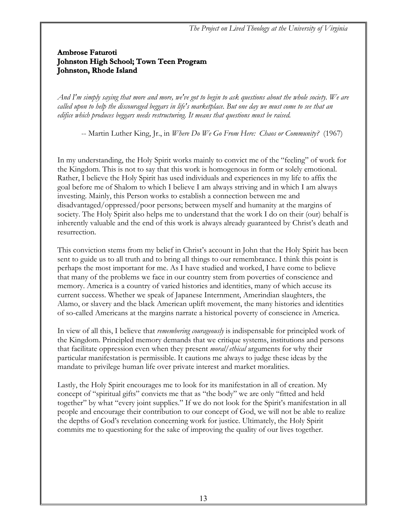#### **Ambrose Faturoti Johnston High School; Town Teen Program Johnston, Rhode Island**

*And I'm simply saying that more and more, we've got to begin to ask questions about the whole society. We are called upon to help the discouraged beggars in life's marketplace. But one day we must come to see that an edifice which produces beggars needs restructuring. It means that questions must be raised.* 

-- Martin Luther King, Jr., in *Where Do We Go From Here: Chaos or Community?* (1967)

In my understanding, the Holy Spirit works mainly to convict me of the "feeling" of work for the Kingdom. This is not to say that this work is homogenous in form or solely emotional. Rather, I believe the Holy Spirit has used individuals and experiences in my life to affix the goal before me of Shalom to which I believe I am always striving and in which I am always investing. Mainly, this Person works to establish a connection between me and disadvantaged/oppressed/poor persons; between myself and humanity at the margins of society. The Holy Spirit also helps me to understand that the work I do on their (our) behalf is inherently valuable and the end of this work is always already guaranteed by Christ's death and resurrection.

This conviction stems from my belief in Christ's account in John that the Holy Spirit has been sent to guide us to all truth and to bring all things to our remembrance. I think this point is perhaps the most important for me. As I have studied and worked, I have come to believe that many of the problems we face in our country stem from poverties of conscience and memory. America is a country of varied histories and identities, many of which accuse its current success. Whether we speak of Japanese Internment, Amerindian slaughters, the Alamo, or slavery and the black American uplift movement, the many histories and identities of so-called Americans at the margins narrate a historical poverty of conscience in America.

In view of all this, I believe that *remembering courageously* is indispensable for principled work of the Kingdom. Principled memory demands that we critique systems, institutions and persons that facilitate oppression even when they present *moral/ethical* arguments for why their particular manifestation is permissible. It cautions me always to judge these ideas by the mandate to privilege human life over private interest and market moralities.

Lastly, the Holy Spirit encourages me to look for its manifestation in all of creation. My concept of "spiritual gifts" convicts me that as "the body" we are only "fitted and held together" by what "every joint supplies." If we do not look for the Spirit's manifestation in all people and encourage their contribution to our concept of God, we will not be able to realize the depths of God's revelation concerning work for justice. Ultimately, the Holy Spirit commits me to questioning for the sake of improving the quality of our lives together.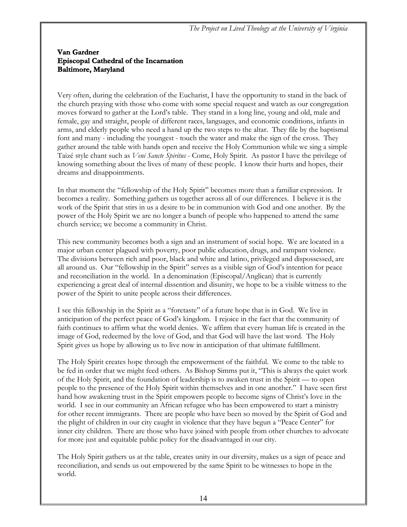#### **Van Gardner Episcopal Cathedral of the Incarnation Baltimore, Maryland**

Very often, during the celebration of the Eucharist, I have the opportunity to stand in the back of the church praying with those who come with some special request and watch as our congregation moves forward to gather at the Lord's table. They stand in a long line, young and old, male and female, gay and straight, people of different races, languages, and economic conditions, infants in arms, and elderly people who need a hand up the two steps to the altar. They file by the baptismal font and many - including the youngest - touch the water and make the sign of the cross. They gather around the table with hands open and receive the Holy Communion while we sing a simple Taizé style chant such as *Veni Sancte Spiritus* - Come, Holy Spirit. As pastor I have the privilege of knowing something about the lives of many of these people. I know their hurts and hopes, their dreams and disappointments.

In that moment the "fellowship of the Holy Spirit" becomes more than a familiar expression. It becomes a reality. Something gathers us together across all of our differences. I believe it is the work of the Spirit that stirs in us a desire to be in communion with God and one another. By the power of the Holy Spirit we are no longer a bunch of people who happened to attend the same church service; we become a community in Christ.

This new community becomes both a sign and an instrument of social hope. We are located in a major urban center plagued with poverty, poor public education, drugs, and rampant violence. The divisions between rich and poor, black and white and latino, privileged and dispossessed, are all around us. Our "fellowship in the Spirit" serves as a visible sign of God's intention for peace and reconciliation in the world. In a denomination (Episcopal/Anglican) that is currently experiencing a great deal of internal dissention and disunity, we hope to be a visible witness to the power of the Spirit to unite people across their differences.

I see this fellowship in the Spirit as a "foretaste" of a future hope that is in God. We live in anticipation of the perfect peace of God's kingdom. I rejoice in the fact that the community of faith continues to affirm what the world denies. We affirm that every human life is created in the image of God, redeemed by the love of God, and that God will have the last word. The Holy Spirit gives us hope by allowing us to live now in anticipation of that ultimate fulfillment.

The Holy Spirit creates hope through the empowerment of the faithful. We come to the table to be fed in order that we might feed others. As Bishop Simms put it, "This is always the quiet work of the Holy Spirit, and the foundation of leadership is to awaken trust in the Spirit — to open people to the presence of the Holy Spirit within themselves and in one another." I have seen first hand how awakening trust in the Spirit empowers people to become signs of Christ's love in the world. I see in our community an African refugee who has been empowered to start a ministry for other recent immigrants. There are people who have been so moved by the Spirit of God and the plight of children in our city caught in violence that they have begun a "Peace Center" for inner city children. There are those who have joined with people from other churches to advocate for more just and equitable public policy for the disadvantaged in our city.

The Holy Spirit gathers us at the table, creates unity in our diversity, makes us a sign of peace and reconciliation, and sends us out empowered by the same Spirit to be witnesses to hope in the world.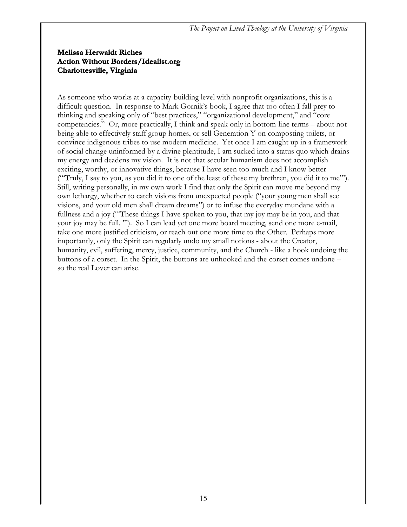#### **Melissa Herwaldt Riches Action Without Borders/Idealist.org Charlottesville, Virginia**

As someone who works at a capacity-building level with nonprofit organizations, this is a difficult question. In response to Mark Gornik's book, I agree that too often I fall prey to thinking and speaking only of "best practices," "organizational development," and "core competencies." Or, more practically, I think and speak only in bottom-line terms – about not being able to effectively staff group homes, or sell Generation Y on composting toilets, or convince indigenous tribes to use modern medicine. Yet once I am caught up in a framework of social change uninformed by a divine plentitude, I am sucked into a status quo which drains my energy and deadens my vision. It is not that secular humanism does not accomplish exciting, worthy, or innovative things, because I have seen too much and I know better ("'Truly, I say to you, as you did it to one of the least of these my brethren, you did it to me'"). Still, writing personally, in my own work I find that only the Spirit can move me beyond my own lethargy, whether to catch visions from unexpected people ("your young men shall see visions, and your old men shall dream dreams") or to infuse the everyday mundane with a fullness and a joy ("'These things I have spoken to you, that my joy may be in you, and that your joy may be full. '"). So I can lead yet one more board meeting, send one more e-mail, take one more justified criticism, or reach out one more time to the Other. Perhaps more importantly, only the Spirit can regularly undo my small notions - about the Creator, humanity, evil, suffering, mercy, justice, community, and the Church - like a hook undoing the buttons of a corset. In the Spirit, the buttons are unhooked and the corset comes undone – so the real Lover can arise.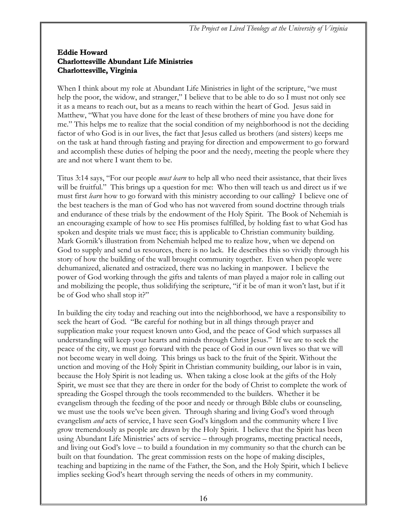#### **Eddie Howard Charlottesville Abundant Life Ministries Charlottesville, Virginia**

When I think about my role at Abundant Life Ministries in light of the scripture, "we must help the poor, the widow, and stranger," I believe that to be able to do so I must not only see it as a means to reach out, but as a means to reach within the heart of God. Jesus said in Matthew, "What you have done for the least of these brothers of mine you have done for me." This helps me to realize that the social condition of my neighborhood is not the deciding factor of who God is in our lives, the fact that Jesus called us brothers (and sisters) keeps me on the task at hand through fasting and praying for direction and empowerment to go forward and accomplish these duties of helping the poor and the needy, meeting the people where they are and not where I want them to be.

Titus 3:14 says, "For our people *must learn* to help all who need their assistance, that their lives will be fruitful." This brings up a question for me: Who then will teach us and direct us if we must first *learn* how to go forward with this ministry according to our calling? I believe one of the best teachers is the man of God who has not wavered from sound doctrine through trials and endurance of these trials by the endowment of the Holy Spirit. The Book of Nehemiah is an encouraging example of how to see His promises fulfilled, by holding fast to what God has spoken and despite trials we must face; this is applicable to Christian community building. Mark Gornik's illustration from Nehemiah helped me to realize how, when we depend on God to supply and send us resources, there is no lack. He describes this so vividly through his story of how the building of the wall brought community together. Even when people were dehumanized, alienated and ostracized, there was no lacking in manpower. I believe the power of God working through the gifts and talents of man played a major role in calling out and mobilizing the people, thus solidifying the scripture, "if it be of man it won't last, but if it be of God who shall stop it?"

In building the city today and reaching out into the neighborhood, we have a responsibility to seek the heart of God. "Be careful for nothing but in all things through prayer and supplication make your request known unto God, and the peace of God which surpasses all understanding will keep your hearts and minds through Christ Jesus." If we are to seek the peace of the city, we must go forward with the peace of God in our own lives so that we will not become weary in well doing. This brings us back to the fruit of the Spirit. Without the unction and moving of the Holy Spirit in Christian community building, our labor is in vain, because the Holy Spirit is not leading us. When taking a close look at the gifts of the Holy Spirit, we must see that they are there in order for the body of Christ to complete the work of spreading the Gospel through the tools recommended to the builders. Whether it be evangelism through the feeding of the poor and needy or through Bible clubs or counseling, we must use the tools we've been given. Through sharing and living God's word through evangelism *and* acts of service, I have seen God's kingdom and the community where I live grow tremendously as people are drawn by the Holy Spirit. I believe that the Spirit has been using Abundant Life Ministries' acts of service – through programs, meeting practical needs, and living out God's love – to build a foundation in my community so that the church can be built on that foundation. The great commission rests on the hope of making disciples, teaching and baptizing in the name of the Father, the Son, and the Holy Spirit, which I believe implies seeking God's heart through serving the needs of others in my community.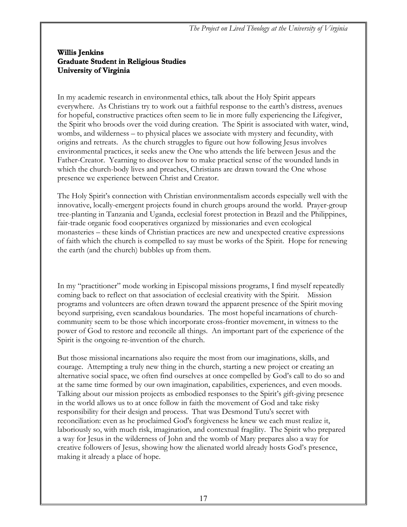#### **Willis Jenkins Graduate Student in Religious Studies University of Virginia**

In my academic research in environmental ethics, talk about the Holy Spirit appears everywhere. As Christians try to work out a faithful response to the earth's distress, avenues for hopeful, constructive practices often seem to lie in more fully experiencing the Lifegiver, the Spirit who broods over the void during creation. The Spirit is associated with water, wind, wombs, and wilderness – to physical places we associate with mystery and fecundity, with origins and retreats. As the church struggles to figure out how following Jesus involves environmental practices, it seeks anew the One who attends the life between Jesus and the Father-Creator. Yearning to discover how to make practical sense of the wounded lands in which the church-body lives and preaches, Christians are drawn toward the One whose presence we experience between Christ and Creator.

The Holy Spirit's connection with Christian environmentalism accords especially well with the innovative, locally-emergent projects found in church groups around the world. Prayer-group tree-planting in Tanzania and Uganda, ecclesial forest protection in Brazil and the Philippines, fair-trade organic food cooperatives organized by missionaries and even ecological monasteries – these kinds of Christian practices are new and unexpected creative expressions of faith which the church is compelled to say must be works of the Spirit. Hope for renewing the earth (and the church) bubbles up from them.

In my "practitioner" mode working in Episcopal missions programs, I find myself repeatedly coming back to reflect on that association of ecclesial creativity with the Spirit. Mission programs and volunteers are often drawn toward the apparent presence of the Spirit moving beyond surprising, even scandalous boundaries. The most hopeful incarnations of churchcommunity seem to be those which incorporate cross-frontier movement, in witness to the power of God to restore and reconcile all things. An important part of the experience of the Spirit is the ongoing re-invention of the church.

But those missional incarnations also require the most from our imaginations, skills, and courage. Attempting a truly new thing in the church, starting a new project or creating an alternative social space, we often find ourselves at once compelled by God's call to do so and at the same time formed by our own imagination, capabilities, experiences, and even moods. Talking about our mission projects as embodied responses to the Spirit's gift-giving presence in the world allows us to at once follow in faith the movement of God and take risky responsibility for their design and process. That was Desmond Tutu's secret with reconciliation: even as he proclaimed God's forgiveness he knew we each must realize it, laboriously so, with much risk, imagination, and contextual fragility. The Spirit who prepared a way for Jesus in the wilderness of John and the womb of Mary prepares also a way for creative followers of Jesus, showing how the alienated world already hosts God's presence, making it already a place of hope.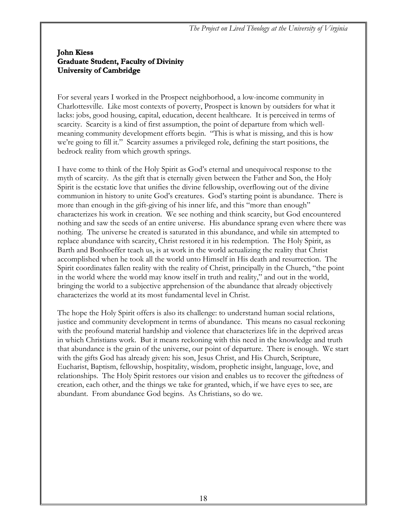#### **John Kiess Graduate Student, Faculty of Divinity University of Cambridge**

For several years I worked in the Prospect neighborhood, a low-income community in Charlottesville. Like most contexts of poverty, Prospect is known by outsiders for what it lacks: jobs, good housing, capital, education, decent healthcare. It is perceived in terms of scarcity. Scarcity is a kind of first assumption, the point of departure from which wellmeaning community development efforts begin. "This is what is missing, and this is how we're going to fill it." Scarcity assumes a privileged role, defining the start positions, the bedrock reality from which growth springs.

I have come to think of the Holy Spirit as God's eternal and unequivocal response to the myth of scarcity. As the gift that is eternally given between the Father and Son, the Holy Spirit is the ecstatic love that unifies the divine fellowship, overflowing out of the divine communion in history to unite God's creatures. God's starting point is abundance. There is more than enough in the gift-giving of his inner life, and this "more than enough" characterizes his work in creation. We see nothing and think scarcity, but God encountered nothing and saw the seeds of an entire universe. His abundance sprang even where there was nothing. The universe he created is saturated in this abundance, and while sin attempted to replace abundance with scarcity, Christ restored it in his redemption. The Holy Spirit, as Barth and Bonhoeffer teach us, is at work in the world actualizing the reality that Christ accomplished when he took all the world unto Himself in His death and resurrection. The Spirit coordinates fallen reality with the reality of Christ, principally in the Church, "the point in the world where the world may know itself in truth and reality," and out in the world, bringing the world to a subjective apprehension of the abundance that already objectively characterizes the world at its most fundamental level in Christ.

The hope the Holy Spirit offers is also its challenge: to understand human social relations, justice and community development in terms of abundance. This means no casual reckoning with the profound material hardship and violence that characterizes life in the deprived areas in which Christians work. But it means reckoning with this need in the knowledge and truth that abundance is the grain of the universe, our point of departure. There is enough. We start with the gifts God has already given: his son, Jesus Christ, and His Church, Scripture, Eucharist, Baptism, fellowship, hospitality, wisdom, prophetic insight, language, love, and relationships. The Holy Spirit restores our vision and enables us to recover the giftedness of creation, each other, and the things we take for granted, which, if we have eyes to see, are abundant. From abundance God begins. As Christians, so do we.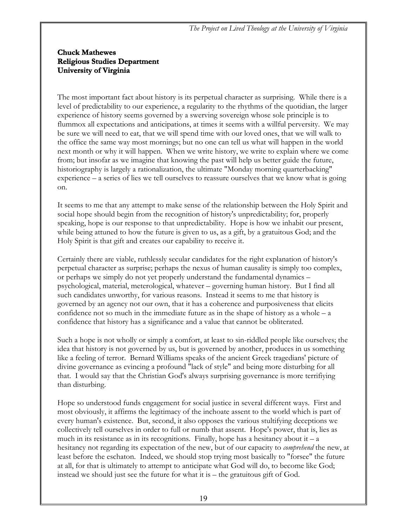#### **Chuck Mathewes Religious Studies Department University of Virginia**

The most important fact about history is its perpetual character as surprising. While there is a level of predictability to our experience, a regularity to the rhythms of the quotidian, the larger experience of history seems governed by a swerving sovereign whose sole principle is to flummox all expectations and anticipations, at times it seems with a willful perversity. We may be sure we will need to eat, that we will spend time with our loved ones, that we will walk to the office the same way most mornings; but no one can tell us what will happen in the world next month or why it will happen. When we write history, we write to explain where we come from; but insofar as we imagine that knowing the past will help us better guide the future, historiography is largely a rationalization, the ultimate "Monday morning quarterbacking" experience – a series of lies we tell ourselves to reassure ourselves that we know what is going on.

It seems to me that any attempt to make sense of the relationship between the Holy Spirit and social hope should begin from the recognition of history's unpredictability; for, properly speaking, hope is our response to that unpredictability. Hope is how we inhabit our present, while being attuned to how the future is given to us, as a gift, by a gratuitous God; and the Holy Spirit is that gift and creates our capability to receive it.

Certainly there are viable, ruthlessly secular candidates for the right explanation of history's perpetual character as surprise; perhaps the nexus of human causality is simply too complex, or perhaps we simply do not yet properly understand the fundamental dynamics – psychological, material, meterological, whatever – governing human history. But I find all such candidates unworthy, for various reasons. Instead it seems to me that history is governed by an agency not our own, that it has a coherence and purposiveness that elicits confidence not so much in the immediate future as in the shape of history as a whole  $- a$ confidence that history has a significance and a value that cannot be obliterated.

Such a hope is not wholly or simply a comfort, at least to sin-riddled people like ourselves; the idea that history is not governed by us, but is governed by another, produces in us something like a feeling of terror. Bernard Williams speaks of the ancient Greek tragedians' picture of divine governance as evincing a profound "lack of style" and being more disturbing for all that. I would say that the Christian God's always surprising governance is more terrifiying than disturbing.

Hope so understood funds engagement for social justice in several different ways. First and most obviously, it affirms the legitimacy of the inchoate assent to the world which is part of every human's existence. But, second, it also opposes the various stultifying deceptions we collectively tell ourselves in order to full or numb that assent. Hope's power, that is, lies as much in its resistance as in its recognitions. Finally, hope has a hesitancy about it  $- a$ hesitancy not regarding its expectation of the new, but of our capacity to *comprehend* the new, at least before the eschaton. Indeed, we should stop trying most basically to "forsee" the future at all, for that is ultimately to attempt to anticipate what God will do, to become like God; instead we should just see the future for what it is – the gratuitous gift of God.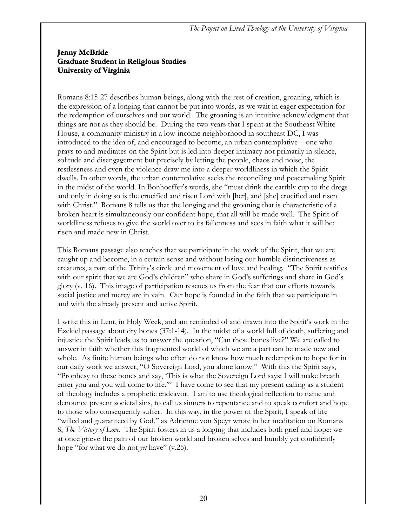#### **Jenny McBride Graduate Student in Religious Studies University of Virginia**

Romans 8:15-27 describes human beings, along with the rest of creation, groaning, which is the expression of a longing that cannot be put into words, as we wait in eager expectation for the redemption of ourselves and our world. The groaning is an intuitive acknowledgment that things are not as they should be. During the two years that I spent at the Southeast White House, a community ministry in a low-income neighborhood in southeast DC, I was introduced to the idea of, and encouraged to become, an urban contemplative—one who prays to and meditates on the Spirit but is led into deeper intimacy not primarily in silence, solitude and disengagement but precisely by letting the people, chaos and noise, the restlessness and even the violence draw me into a deeper worldliness in which the Spirit dwells. In other words, the urban contemplative seeks the reconciling and peacemaking Spirit in the midst of the world. In Bonhoeffer's words, she "must drink the earthly cup to the dregs and only in doing so is the crucified and risen Lord with [her], and [she] crucified and risen with Christ." Romans 8 tells us that the longing and the groaning that is characteristic of a broken heart is simultaneously our confident hope, that all will be made well. The Spirit of worldliness refuses to give the world over to its fallenness and sees in faith what it will be: risen and made new in Christ.

This Romans passage also teaches that we participate in the work of the Spirit, that we are caught up and become, in a certain sense and without losing our humble distinctiveness as creatures, a part of the Trinity's circle and movement of love and healing. "The Spirit testifies with our spirit that we are God's children" who share in God's sufferings and share in God's glory (v. 16). This image of participation rescues us from the fear that our efforts towards social justice and mercy are in vain. Our hope is founded in the faith that we participate in and with the already present and active Spirit.

I write this in Lent, in Holy Week, and am reminded of and drawn into the Spirit's work in the Ezekiel passage about dry bones (37:1-14). In the midst of a world full of death, suffering and injustice the Spirit leads us to answer the question, "Can these bones live?" We are called to answer in faith whether this fragmented world of which we are a part can be made new and whole. As finite human beings who often do not know how much redemption to hope for in our daily work we answer, "O Sovereign Lord, you alone know." With this the Spirit says, "Prophesy to these bones and say, 'This is what the Sovereign Lord says: I will make breath enter you and you will come to life.'" I have come to see that my present calling as a student of theology includes a prophetic endeavor. I am to use theological reflection to name and denounce present societal sins, to call us sinners to repentance and to speak comfort and hope to those who consequently suffer. In this way, in the power of the Spirit, I speak of life "willed and guaranteed by God," as Adrienne von Speyr wrote in her meditation on Romans 8, *The Victory of Love*. The Spirit fosters in us a longing that includes both grief and hope: we at once grieve the pain of our broken world and broken selves and humbly yet confidently hope "for what we do not *yet* have" (v.25).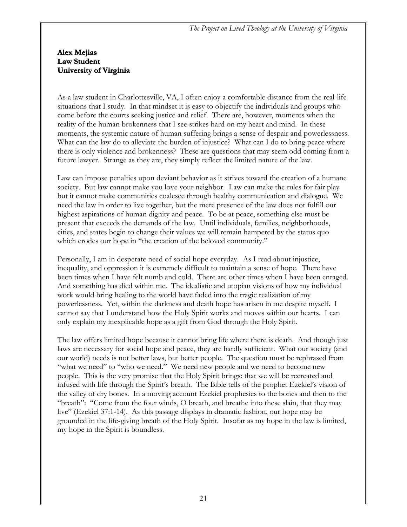#### **Alex Mejias Law Student University of Virginia**

As a law student in Charlottesville, VA, I often enjoy a comfortable distance from the real-life situations that I study. In that mindset it is easy to objectify the individuals and groups who come before the courts seeking justice and relief. There are, however, moments when the reality of the human brokenness that I see strikes hard on my heart and mind. In these moments, the systemic nature of human suffering brings a sense of despair and powerlessness. What can the law do to alleviate the burden of injustice? What can I do to bring peace where there is only violence and brokenness? These are questions that may seem odd coming from a future lawyer. Strange as they are, they simply reflect the limited nature of the law.

Law can impose penalties upon deviant behavior as it strives toward the creation of a humane society. But law cannot make you love your neighbor. Law can make the rules for fair play but it cannot make communities coalesce through healthy communication and dialogue. We need the law in order to live together, but the mere presence of the law does not fulfill our highest aspirations of human dignity and peace. To be at peace, something else must be present that exceeds the demands of the law. Until individuals, families, neighborhoods, cities, and states begin to change their values we will remain hampered by the status quo which erodes our hope in "the creation of the beloved community."

Personally, I am in desperate need of social hope everyday. As I read about injustice, inequality, and oppression it is extremely difficult to maintain a sense of hope. There have been times when I have felt numb and cold. There are other times when I have been enraged. And something has died within me. The idealistic and utopian visions of how my individual work would bring healing to the world have faded into the tragic realization of my powerlessness. Yet, within the darkness and death hope has arisen in me despite myself. I cannot say that I understand how the Holy Spirit works and moves within our hearts. I can only explain my inexplicable hope as a gift from God through the Holy Spirit.

The law offers limited hope because it cannot bring life where there is death. And though just laws are necessary for social hope and peace, they are hardly sufficient. What our society (and our world) needs is not better laws, but better people. The question must be rephrased from "what we need" to "who we need." We need new people and we need to become new people. This is the very promise that the Holy Spirit brings: that we will be recreated and infused with life through the Spirit's breath. The Bible tells of the prophet Ezekiel's vision of the valley of dry bones. In a moving account Ezekiel prophesies to the bones and then to the "breath": "Come from the four winds, O breath, and breathe into these slain, that they may live" (Ezekiel 37:1-14). As this passage displays in dramatic fashion, our hope may be grounded in the life-giving breath of the Holy Spirit. Insofar as my hope in the law is limited, my hope in the Spirit is boundless.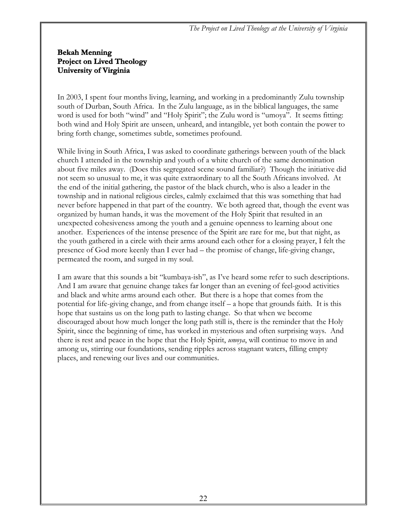#### **Bekah Menning Project on Lived Theology University of Virginia**

In 2003, I spent four months living, learning, and working in a predominantly Zulu township south of Durban, South Africa. In the Zulu language, as in the biblical languages, the same word is used for both "wind" and "Holy Spirit"; the Zulu word is "umoya". It seems fitting: both wind and Holy Spirit are unseen, unheard, and intangible, yet both contain the power to bring forth change, sometimes subtle, sometimes profound.

While living in South Africa, I was asked to coordinate gatherings between youth of the black church I attended in the township and youth of a white church of the same denomination about five miles away. (Does this segregated scene sound familiar?) Though the initiative did not seem so unusual to me, it was quite extraordinary to all the South Africans involved. At the end of the initial gathering, the pastor of the black church, who is also a leader in the township and in national religious circles, calmly exclaimed that this was something that had never before happened in that part of the country. We both agreed that, though the event was organized by human hands, it was the movement of the Holy Spirit that resulted in an unexpected cohesiveness among the youth and a genuine openness to learning about one another. Experiences of the intense presence of the Spirit are rare for me, but that night, as the youth gathered in a circle with their arms around each other for a closing prayer, I felt the presence of God more keenly than I ever had – the promise of change, life-giving change, permeated the room, and surged in my soul.

I am aware that this sounds a bit "kumbaya-ish", as I've heard some refer to such descriptions. And I am aware that genuine change takes far longer than an evening of feel-good activities and black and white arms around each other. But there is a hope that comes from the potential for life-giving change, and from change itself – a hope that grounds faith. It is this hope that sustains us on the long path to lasting change. So that when we become discouraged about how much longer the long path still is, there is the reminder that the Holy Spirit, since the beginning of time, has worked in mysterious and often surprising ways. And there is rest and peace in the hope that the Holy Spirit, *umoya*, will continue to move in and among us, stirring our foundations, sending ripples across stagnant waters, filling empty places, and renewing our lives and our communities.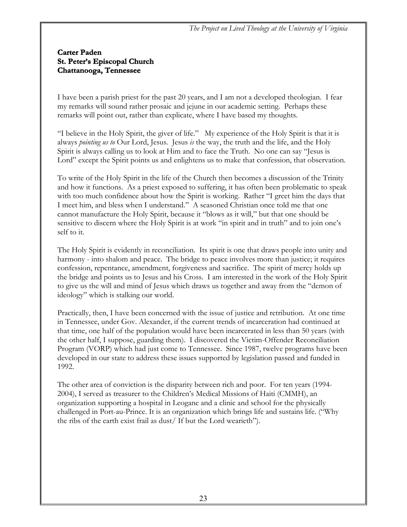#### **Carter Paden St. Peter's Episcopal Church Chattanooga, Tennessee**

I have been a parish priest for the past 20 years, and I am not a developed theologian. I fear my remarks will sound rather prosaic and jejune in our academic setting. Perhaps these remarks will point out, rather than explicate, where I have based my thoughts.

"I believe in the Holy Spirit, the giver of life." My experience of the Holy Spirit is that it is always *pointing us to* Our Lord, Jesus. Jesus *is* the way, the truth and the life, and the Holy Spirit is always calling us to look at Him and to face the Truth. No one can say "Jesus is Lord" except the Spirit points us and enlightens us to make that confession, that observation.

To write of the Holy Spirit in the life of the Church then becomes a discussion of the Trinity and how it functions. As a priest exposed to suffering, it has often been problematic to speak with too much confidence about how the Spirit is working. Rather "I greet him the days that I meet him, and bless when I understand." A seasoned Christian once told me that one cannot manufacture the Holy Spirit, because it "blows as it will," but that one should be sensitive to discern where the Holy Spirit is at work "in spirit and in truth" and to join one's self to it.

The Holy Spirit is evidently in reconciliation. Its spirit is one that draws people into unity and harmony - into shalom and peace. The bridge to peace involves more than justice; it requires confession, repentance, amendment, forgiveness and sacrifice. The spirit of mercy holds up the bridge and points us to Jesus and his Cross. I am interested in the work of the Holy Spirit to give us the will and mind of Jesus which draws us together and away from the "demon of ideology" which is stalking our world.

Practically, then, I have been concerned with the issue of justice and retribution. At one time in Tennessee, under Gov. Alexander, if the current trends of incarceration had continued at that time, one half of the population would have been incarcerated in less than 50 years (with the other half, I suppose, guarding them). I discovered the Victim-Offender Reconciliation Program (VORP) which had just come to Tennessee. Since 1987, twelve programs have been developed in our state to address these issues supported by legislation passed and funded in 1992.

The other area of conviction is the disparity between rich and poor. For ten years (1994- 2004), I served as treasurer to the Children's Medical Missions of Haiti (CMMH), an organization supporting a hospital in Leogane and a clinic and school for the physically challenged in Port-au-Prince. It is an organization which brings life and sustains life. ("Why the ribs of the earth exist frail as dust/ If but the Lord wearieth").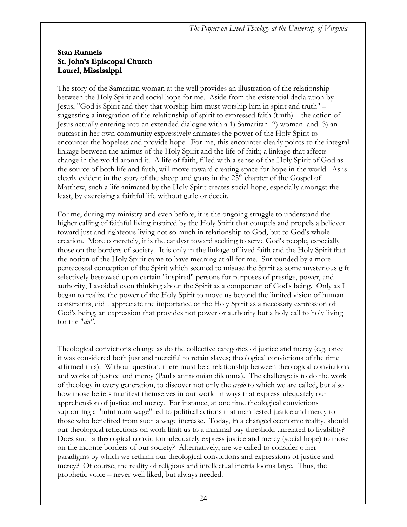#### **Stan Runnels St. John's Episcopal Church Laurel, Mississippi**

The story of the Samaritan woman at the well provides an illustration of the relationship between the Holy Spirit and social hope for me. Aside from the existential declaration by Jesus, "God is Spirit and they that worship him must worship him in spirit and truth" – suggesting a integration of the relationship of spirit to expressed faith (truth) – the action of Jesus actually entering into an extended dialogue with a 1) Samaritan 2) woman and 3) an outcast in her own community expressively animates the power of the Holy Spirit to encounter the hopeless and provide hope. For me, this encounter clearly points to the integral linkage between the animus of the Holy Spirit and the life of faith; a linkage that affects change in the world around it. A life of faith, filled with a sense of the Holy Spirit of God as the source of both life and faith, will move toward creating space for hope in the world. As is clearly evident in the story of the sheep and goats in the  $25<sup>th</sup>$  chapter of the Gospel of Matthew, such a life animated by the Holy Spirit creates social hope, especially amongst the least, by exercising a faithful life without guile or deceit.

For me, during my ministry and even before, it is the ongoing struggle to understand the higher calling of faithful living inspired by the Holy Spirit that compels and propels a believer toward just and righteous living not so much in relationship to God, but to God's whole creation. More concretely, it is the catalyst toward seeking to serve God's people, especially those on the borders of society. It is only in the linkage of lived faith and the Holy Spirit that the notion of the Holy Spirit came to have meaning at all for me. Surrounded by a more pentecostal conception of the Spirit which seemed to misuse the Spirit as some mysterious gift selectively bestowed upon certain "inspired" persons for purposes of prestige, power, and authority, I avoided even thinking about the Spirit as a component of God's being. Only as I began to realize the power of the Holy Spirit to move us beyond the limited vision of human constraints, did I appreciate the importance of the Holy Spirit as a necessary expression of God's being, an expression that provides not power or authority but a holy call to holy living for the "*du".*

Theological convictions change as do the collective categories of justice and mercy (e.g. once it was considered both just and merciful to retain slaves; theological convictions of the time affirmed this). Without question, there must be a relationship between theological convictions and works of justice and mercy (Paul's antinomian dilemma). The challenge is to do the work of theology in every generation, to discover not only the *credo* to which we are called, but also how those beliefs manifest themselves in our world in ways that express adequately our apprehension of justice and mercy. For instance, at one time theological convictions supporting a "minimum wage" led to political actions that manifested justice and mercy to those who benefited from such a wage increase. Today, in a changed economic reality, should our theological reflections on work limit us to a minimal pay threshold unrelated to livability? Does such a theological conviction adequately express justice and mercy (social hope) to those on the income borders of our society? Alternatively, are we called to consider other paradigms by which we rethink our theological convictions and expressions of justice and mercy? Of course, the reality of religious and intellectual inertia looms large. Thus, the prophetic voice – never well liked, but always needed.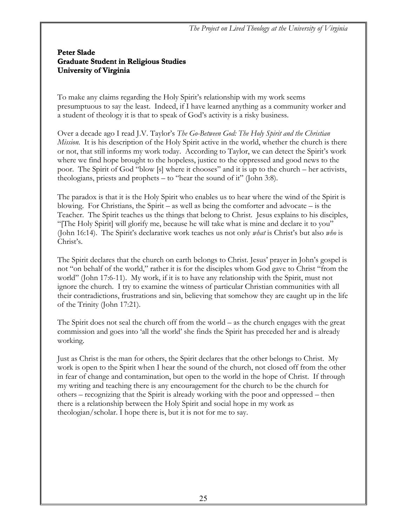#### **Peter Slade Graduate Student in Religious Studies University of Virginia**

To make any claims regarding the Holy Spirit's relationship with my work seems presumptuous to say the least. Indeed, if I have learned anything as a community worker and a student of theology it is that to speak of God's activity is a risky business.

Over a decade ago I read J.V. Taylor's *The Go-Between God: The Holy Spirit and the Christian Mission.* It is his description of the Holy Spirit active in the world, whether the church is there or not, that still informs my work today. According to Taylor, we can detect the Spirit's work where we find hope brought to the hopeless, justice to the oppressed and good news to the poor. The Spirit of God "blow [s] where it chooses" and it is up to the church – her activists, theologians, priests and prophets – to "hear the sound of it" (John 3:8).

The paradox is that it is the Holy Spirit who enables us to hear where the wind of the Spirit is blowing. For Christians, the Spirit – as well as being the comforter and advocate – is the Teacher. The Spirit teaches us the things that belong to Christ. Jesus explains to his disciples, "[The Holy Spirit] will glorify me, because he will take what is mine and declare it to you" (John 16:14). The Spirit's declarative work teaches us not only *what* is Christ's but also *who* is Christ's.

The Spirit declares that the church on earth belongs to Christ. Jesus' prayer in John's gospel is not "on behalf of the world," rather it is for the disciples whom God gave to Christ "from the world" (John 17:6-11). My work, if it is to have any relationship with the Spirit, must not ignore the church. I try to examine the witness of particular Christian communities with all their contradictions, frustrations and sin, believing that somehow they are caught up in the life of the Trinity (John 17:21).

The Spirit does not seal the church off from the world – as the church engages with the great commission and goes into 'all the world' she finds the Spirit has preceded her and is already working.

Just as Christ is the man for others, the Spirit declares that the other belongs to Christ. My work is open to the Spirit when I hear the sound of the church, not closed off from the other in fear of change and contamination, but open to the world in the hope of Christ. If through my writing and teaching there is any encouragement for the church to be the church for others – recognizing that the Spirit is already working with the poor and oppressed – then there is a relationship between the Holy Spirit and social hope in my work as theologian/scholar. I hope there is, but it is not for me to say.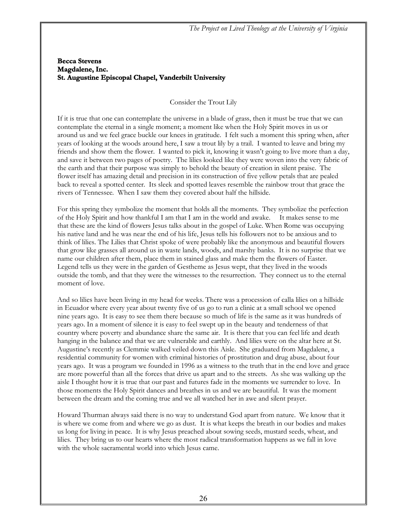#### **Becca Stevens Magdalene, Inc. St. Augustine Episcopal Chapel, Vanderbilt University**

Consider the Trout Lily

If it is true that one can contemplate the universe in a blade of grass, then it must be true that we can contemplate the eternal in a single moment; a moment like when the Holy Spirit moves in us or around us and we feel grace buckle our knees in gratitude. I felt such a moment this spring when, after years of looking at the woods around here, I saw a trout lily by a trail. I wanted to leave and bring my friends and show them the flower. I wanted to pick it, knowing it wasn't going to live more than a day, and save it between two pages of poetry. The lilies looked like they were woven into the very fabric of the earth and that their purpose was simply to behold the beauty of creation in silent praise. The flower itself has amazing detail and precision in its construction of five yellow petals that are pealed back to reveal a spotted center. Its sleek and spotted leaves resemble the rainbow trout that grace the rivers of Tennessee. When I saw them they covered about half the hillside.

For this spring they symbolize the moment that holds all the moments. They symbolize the perfection of the Holy Spirit and how thankful I am that I am in the world and awake. It makes sense to me that these are the kind of flowers Jesus talks about in the gospel of Luke. When Rome was occupying his native land and he was near the end of his life, Jesus tells his followers not to be anxious and to think of lilies. The Lilies that Christ spoke of were probably like the anonymous and beautiful flowers that grow like grasses all around us in waste lands, woods, and marshy banks. It is no surprise that we name our children after them, place them in stained glass and make them the flowers of Easter. Legend tells us they were in the garden of Gestheme as Jesus wept, that they lived in the woods outside the tomb, and that they were the witnesses to the resurrection. They connect us to the eternal moment of love.

And so lilies have been living in my head for weeks. There was a procession of calla lilies on a hillside in Ecuador where every year about twenty five of us go to run a clinic at a small school we opened nine years ago. It is easy to see them there because so much of life is the same as it was hundreds of years ago. In a moment of silence it is easy to feel swept up in the beauty and tenderness of that country where poverty and abundance share the same air. It is there that you can feel life and death hanging in the balance and that we are vulnerable and earthly. And lilies were on the altar here at St. Augustine's recently as Clemmie walked veiled down this Aisle. She graduated from Magdalene, a residential community for women with criminal histories of prostitution and drug abuse, about four years ago. It was a program we founded in 1996 as a witness to the truth that in the end love and grace are more powerful than all the forces that drive us apart and to the streets. As she was walking up the aisle I thought how it is true that our past and futures fade in the moments we surrender to love. In those moments the Holy Spirit dances and breathes in us and we are beautiful. It was the moment between the dream and the coming true and we all watched her in awe and silent prayer.

Howard Thurman always said there is no way to understand God apart from nature. We know that it is where we come from and where we go as dust. It is what keeps the breath in our bodies and makes us long for living in peace. It is why Jesus preached about sowing seeds, mustard seeds, wheat, and lilies. They bring us to our hearts where the most radical transformation happens as we fall in love with the whole sacramental world into which Jesus came.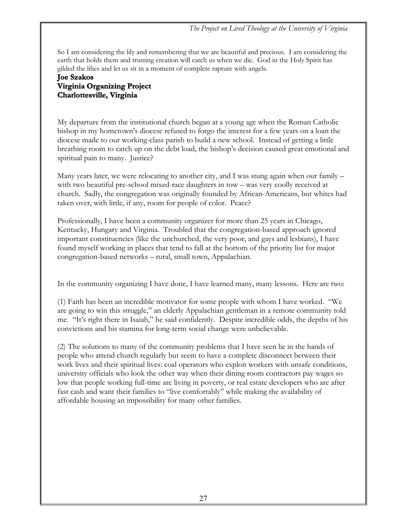So I am considering the lily and remembering that we are beautiful and precious. I am considering the earth that holds them and trusting creation will catch us when we die. God in the Holy Spirit has gilded the lilies and let us sit in a moment of complete rapture with angels.

#### **Joe Szakos Virginia Organizing Project Charlottesville, Virginia**

My departure from the institutional church began at a young age when the Roman Catholic bishop in my hometown's diocese refused to forgo the interest for a few years on a loan the diocese made to our working-class parish to build a new school. Instead of getting a little breathing room to catch up on the debt load, the bishop's decision caused great emotional and spiritual pain to many. Justice?

Many years later, we were relocating to another city, and I was stung again when our family – with two beautiful pre-school mixed-race daughters in tow – was very coolly received at church. Sadly, the congregation was originally founded by African-Americans, but whites had taken over, with little, if any, room for people of color. Peace?

Professionally, I have been a community organizer for more than 25 years in Chicago, Kentucky, Hungary and Virginia. Troubled that the congregation-based approach ignored important constituencies (like the unchurched, the very poor, and gays and lesbians), I have found myself working in places that tend to fall at the bottom of the priority list for major congregation-based networks – rural, small town, Appalachian.

In the community organizing I have done, I have learned many, many lessons. Here are two:

(1) Faith has been an incredible motivator for some people with whom I have worked. "We are going to win this struggle," an elderly Appalachian gentleman in a remote community told me. "It's right there in Isaiah," he said confidently. Despite incredible odds, the depths of his convictions and his stamina for long-term social change were unbelievable.

(2) The solutions to many of the community problems that I have seen lie in the hands of people who attend church regularly but seem to have a complete disconnect between their work lives and their spiritual lives: coal operators who exploit workers with unsafe conditions, university officials who look the other way when their dining room contractors pay wages so low that people working full-time are living in poverty, or real estate developers who are after fast cash and want their families to "live comfortably" while making the availability of affordable housing an impossibility for many other families.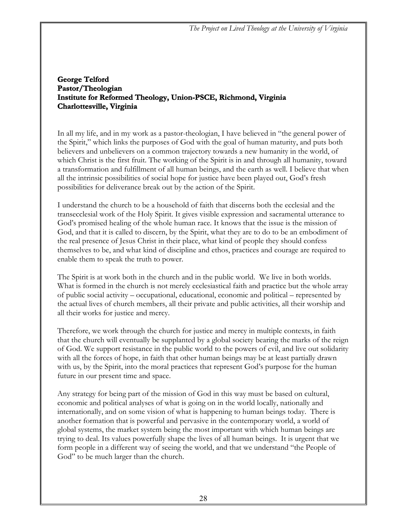#### **George Telford Pastor/Theologian Institute for Reformed Theology, Union-PSCE, Richmond, Virginia Charlottesville, Virginia**

In all my life, and in my work as a pastor-theologian, I have believed in "the general power of the Spirit," which links the purposes of God with the goal of human maturity, and puts both believers and unbelievers on a common trajectory towards a new humanity in the world, of which Christ is the first fruit. The working of the Spirit is in and through all humanity, toward a transformation and fulfillment of all human beings, and the earth as well. I believe that when all the intrinsic possibilities of social hope for justice have been played out, God's fresh possibilities for deliverance break out by the action of the Spirit.

I understand the church to be a household of faith that discerns both the ecclesial and the transecclesial work of the Holy Spirit. It gives visible expression and sacramental utterance to God's promised healing of the whole human race. It knows that the issue is the mission of God, and that it is called to discern, by the Spirit, what they are to do to be an embodiment of the real presence of Jesus Christ in their place, what kind of people they should confess themselves to be, and what kind of discipline and ethos, practices and courage are required to enable them to speak the truth to power.

The Spirit is at work both in the church and in the public world. We live in both worlds. What is formed in the church is not merely ecclesiastical faith and practice but the whole array of public social activity – occupational, educational, economic and political – represented by the actual lives of church members, all their private and public activities, all their worship and all their works for justice and mercy.

Therefore, we work through the church for justice and mercy in multiple contexts, in faith that the church will eventually be supplanted by a global society bearing the marks of the reign of God. We support resistance in the public world to the powers of evil, and live out solidarity with all the forces of hope, in faith that other human beings may be at least partially drawn with us, by the Spirit, into the moral practices that represent God's purpose for the human future in our present time and space.

Any strategy for being part of the mission of God in this way must be based on cultural, economic and political analyses of what is going on in the world locally, nationally and internationally, and on some vision of what is happening to human beings today. There is another formation that is powerful and pervasive in the contemporary world, a world of global systems, the market system being the most important with which human beings are trying to deal. Its values powerfully shape the lives of all human beings. It is urgent that we form people in a different way of seeing the world, and that we understand "the People of God" to be much larger than the church.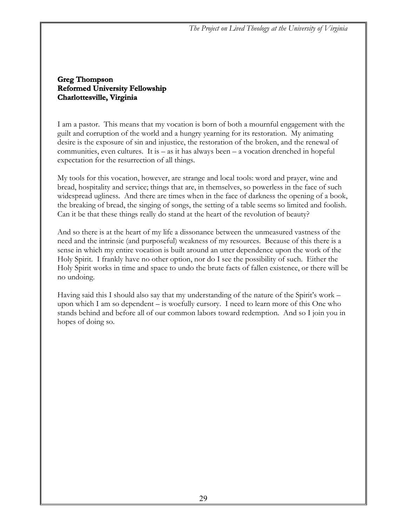#### **Greg Thompson Reformed University Fellowship Charlottesville, Virginia**

I am a pastor. This means that my vocation is born of both a mournful engagement with the guilt and corruption of the world and a hungry yearning for its restoration. My animating desire is the exposure of sin and injustice, the restoration of the broken, and the renewal of communities, even cultures. It is  $-$  as it has always been  $-$  a vocation drenched in hopeful expectation for the resurrection of all things.

My tools for this vocation, however, are strange and local tools: word and prayer, wine and bread, hospitality and service; things that are, in themselves, so powerless in the face of such widespread ugliness. And there are times when in the face of darkness the opening of a book, the breaking of bread, the singing of songs, the setting of a table seems so limited and foolish. Can it be that these things really do stand at the heart of the revolution of beauty?

And so there is at the heart of my life a dissonance between the unmeasured vastness of the need and the intrinsic (and purposeful) weakness of my resources. Because of this there is a sense in which my entire vocation is built around an utter dependence upon the work of the Holy Spirit. I frankly have no other option, nor do I see the possibility of such. Either the Holy Spirit works in time and space to undo the brute facts of fallen existence, or there will be no undoing.

Having said this I should also say that my understanding of the nature of the Spirit's work – upon which I am so dependent – is woefully cursory. I need to learn more of this One who stands behind and before all of our common labors toward redemption. And so I join you in hopes of doing so.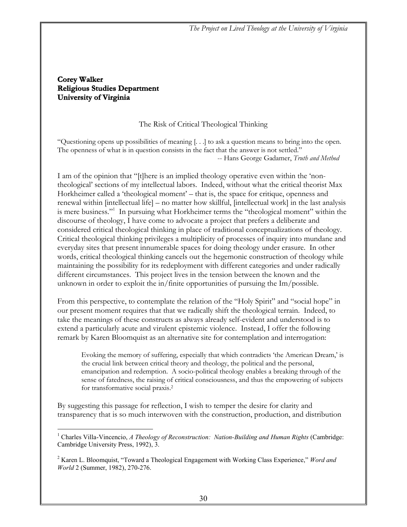#### **Corey Walker Religious Studies Department University of Virginia**

#### The Risk of Critical Theological Thinking

"Questioning opens up possibilities of meaning [. . .] to ask a question means to bring into the open. The openness of what is in question consists in the fact that the answer is not settled." -- Hans George Gadamer, *Truth and Method*

I am of the opinion that "[t]here is an implied theology operative even within the 'nontheological' sections of my intellectual labors. Indeed, without what the critical theorist Max Horkheimer called a 'theological moment' – that is, the space for critique, openness and renewal within [intellectual life] – no matter how skillful, [intellectual work] in the last analysis is mere business."<sup>1</sup> In pursuing what Horkheimer terms the "theological moment" within the discourse of theology, I have come to advocate a project that prefers a deliberate and considered critical theological thinking in place of traditional conceptualizations of theology. Critical theological thinking privileges a multiplicity of processes of inquiry into mundane and everyday sites that present innumerable spaces for doing theology under erasure. In other words, critical theological thinking cancels out the hegemonic construction of theology while maintaining the possibility for its redeployment with different categories and under radically different circumstances. This project lives in the tension between the known and the unknown in order to exploit the in/finite opportunities of pursuing the Im/possible.

From this perspective, to contemplate the relation of the "Holy Spirit" and "social hope" in our present moment requires that that we radically shift the theological terrain. Indeed, to take the meanings of these constructs as always already self-evident and understood is to extend a particularly acute and virulent epistemic violence. Instead, I offer the following remark by Karen Bloomquist as an alternative site for contemplation and interrogation:

Evoking the memory of suffering, especially that which contradicts 'the American Dream,' is the crucial link between critical theory and theology, the political and the personal, emancipation and redemption. A socio-political theology enables a breaking through of the sense of fatedness, the raising of critical consciousness, and thus the empowering of subjects for transformative social praxis.2

By suggesting this passage for reflection, I wish to temper the desire for clarity and transparency that is so much interwoven with the construction, production, and distribution

 $\overline{a}$ <sup>1</sup> Charles Villa-Vincencio, *A Theology of Reconstruction: Nation-Building and Human Rights* (Cambridge: Cambridge University Press, 1992), 3.

<sup>2</sup> Karen L. Bloomquist, "Toward a Theological Engagement with Working Class Experience," *Word and World* 2 (Summer, 1982), 270-276.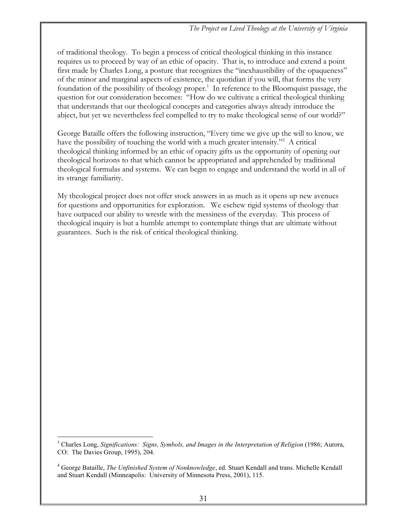of traditional theology. To begin a process of critical theological thinking in this instance requires us to proceed by way of an ethic of opacity. That is, to introduce and extend a point first made by Charles Long, a posture that recognizes the "inexhaustibility of the opaqueness" of the minor and marginal aspects of existence, the quotidian if you will, that forms the very foundation of the possibility of theology proper.<sup>1</sup> In reference to the Bloomquist passage, the question for our consideration becomes: "How do we cultivate a critical theological thinking that understands that our theological concepts and categories always already introduce the abject, but yet we nevertheless feel compelled to try to make theological sense of our world?"

George Bataille offers the following instruction, "Every time we give up the will to know, we have the possibility of touching the world with a much greater intensity."<sup>2</sup> A critical theological thinking informed by an ethic of opacity gifts us the opportunity of opening our theological horizons to that which cannot be appropriated and apprehended by traditional theological formulas and systems. We can begin to engage and understand the world in all of its strange familiarity.

My theological project does not offer stock answers in as much as it opens up new avenues for questions and opportunities for exploration. We eschew rigid systems of theology that have outpaced our ability to wrestle with the messiness of the everyday. This process of theological inquiry is but a humble attempt to contemplate things that are ultimate without guarantees. Such is the risk of critical theological thinking.

 $\overline{a}$ 3 Charles Long, *Significations: Signs, Symbols, and Images in the Interpretation of Religion* (1986; Aurora, CO: The Davies Group, 1995), 204.

<sup>4</sup> George Bataille, *The Unfinished System of Nonknowledge*, ed. Stuart Kendall and trans. Michelle Kendall and Stuart Kendall (Minneapolis: University of Minnesota Press, 2001), 115.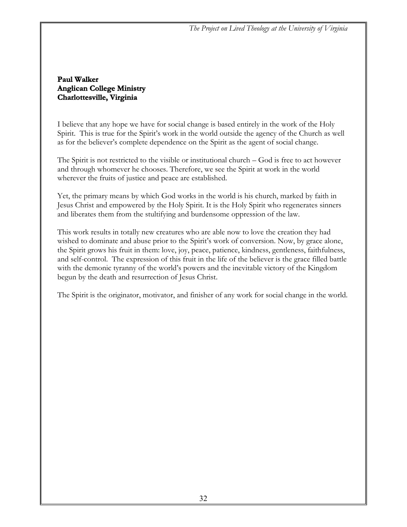#### **Paul Walker Anglican College Ministry Charlottesville, Virginia**

I believe that any hope we have for social change is based entirely in the work of the Holy Spirit. This is true for the Spirit's work in the world outside the agency of the Church as well as for the believer's complete dependence on the Spirit as the agent of social change.

The Spirit is not restricted to the visible or institutional church – God is free to act however and through whomever he chooses. Therefore, we see the Spirit at work in the world wherever the fruits of justice and peace are established.

Yet, the primary means by which God works in the world is his church, marked by faith in Jesus Christ and empowered by the Holy Spirit. It is the Holy Spirit who regenerates sinners and liberates them from the stultifying and burdensome oppression of the law.

This work results in totally new creatures who are able now to love the creation they had wished to dominate and abuse prior to the Spirit's work of conversion. Now, by grace alone, the Spirit grows his fruit in them: love, joy, peace, patience, kindness, gentleness, faithfulness, and self-control. The expression of this fruit in the life of the believer is the grace filled battle with the demonic tyranny of the world's powers and the inevitable victory of the Kingdom begun by the death and resurrection of Jesus Christ.

The Spirit is the originator, motivator, and finisher of any work for social change in the world.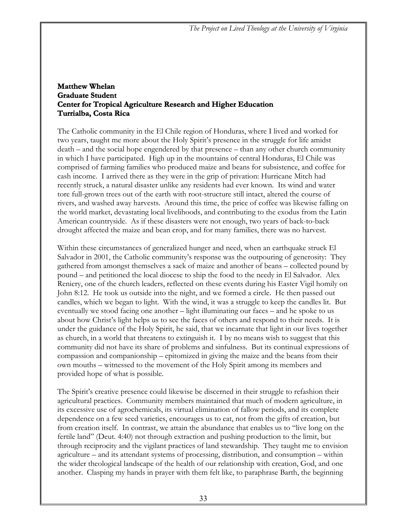#### **Matthew Whelan Graduate Student Center for Tropical Agriculture Research and Higher Education Turrialba, Costa Rica**

The Catholic community in the El Chile region of Honduras, where I lived and worked for two years, taught me more about the Holy Spirit's presence in the struggle for life amidst death – and the social hope engendered by that presence – than any other church community in which I have participated. High up in the mountains of central Honduras, El Chile was comprised of farming families who produced maize and beans for subsistence, and coffee for cash income. I arrived there as they were in the grip of privation: Hurricane Mitch had recently struck, a natural disaster unlike any residents had ever known. Its wind and water tore full-grown trees out of the earth with root-structure still intact, altered the course of rivers, and washed away harvests. Around this time, the price of coffee was likewise falling on the world market, devastating local livelihoods, and contributing to the exodus from the Latin American countryside. As if these disasters were not enough, two years of back-to-back drought affected the maize and bean crop, and for many families, there was no harvest.

Within these circumstances of generalized hunger and need, when an earthquake struck El Salvador in 2001, the Catholic community's response was the outpouring of generosity: They gathered from amongst themselves a sack of maize and another of beans – collected pound by pound – and petitioned the local diocese to ship the food to the needy in El Salvador. Alex Reniery, one of the church leaders, reflected on these events during his Easter Vigil homily on John 8:12. He took us outside into the night, and we formed a circle. He then passed out candles, which we began to light. With the wind, it was a struggle to keep the candles lit. But eventually we stood facing one another – light illuminating our faces – and he spoke to us about how Christ's light helps us to see the faces of others and respond to their needs. It is under the guidance of the Holy Spirit, he said, that we incarnate that light in our lives together as church, in a world that threatens to extinguish it. I by no means wish to suggest that this community did not have its share of problems and sinfulness. But its continual expressions of compassion and companionship – epitomized in giving the maize and the beans from their own mouths – witnessed to the movement of the Holy Spirit among its members and provided hope of what is possible.

The Spirit's creative presence could likewise be discerned in their struggle to refashion their agricultural practices. Community members maintained that much of modern agriculture, in its excessive use of agrochemicals, its virtual elimination of fallow periods, and its complete dependence on a few seed varieties, encourages us to eat, not from the gifts of creation, but from creation itself. In contrast, we attain the abundance that enables us to "live long on the fertile land" (Deut. 4:40) not through extraction and pushing production to the limit, but through reciprocity and the vigilant practices of land stewardship. They taught me to envision agriculture – and its attendant systems of processing, distribution, and consumption – within the wider theological landscape of the health of our relationship with creation, God, and one another. Clasping my hands in prayer with them felt like, to paraphrase Barth, the beginning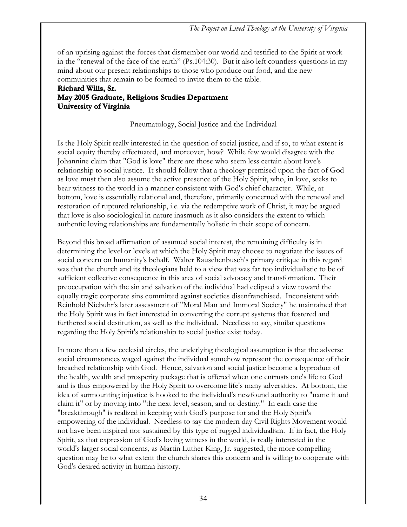of an uprising against the forces that dismember our world and testified to the Spirit at work in the "renewal of the face of the earth" (Ps.104:30). But it also left countless questions in my mind about our present relationships to those who produce our food, and the new communities that remain to be formed to invite them to the table.

#### **Richard Wills, Sr. May 2005 Graduate, Religious Studies Department University of Virginia**

Pneumatology, Social Justice and the Individual

Is the Holy Spirit really interested in the question of social justice, and if so, to what extent is social equity thereby effectuated, and moreover, how? While few would disagree with the Johannine claim that "God is love" there are those who seem less certain about love's relationship to social justice. It should follow that a theology premised upon the fact of God as love must then also assume the active presence of the Holy Spirit, who, in love, seeks to bear witness to the world in a manner consistent with God's chief character. While, at bottom, love is essentially relational and, therefore, primarily concerned with the renewal and restoration of ruptured relationship, i.e. via the redemptive work of Christ, it may be argued that love is also sociological in nature inasmuch as it also considers the extent to which authentic loving relationships are fundamentally holistic in their scope of concern.

Beyond this broad affirmation of assumed social interest, the remaining difficulty is in determining the level or levels at which the Holy Spirit may choose to negotiate the issues of social concern on humanity's behalf. Walter Rauschenbusch's primary critique in this regard was that the church and its theologians held to a view that was far too individualistic to be of sufficient collective consequence in this area of social advocacy and transformation. Their preoccupation with the sin and salvation of the individual had eclipsed a view toward the equally tragic corporate sins committed against societies disenfranchised. Inconsistent with Reinhold Niebuhr's later assessment of "Moral Man and Immoral Society" he maintained that the Holy Spirit was in fact interested in converting the corrupt systems that fostered and furthered social destitution, as well as the individual. Needless to say, similar questions regarding the Holy Spirit's relationship to social justice exist today.

In more than a few ecclesial circles, the underlying theological assumption is that the adverse social circumstances waged against the individual somehow represent the consequence of their breached relationship with God. Hence, salvation and social justice become a byproduct of the health, wealth and prosperity package that is offered when one entrusts one's life to God and is thus empowered by the Holy Spirit to overcome life's many adversities. At bottom, the idea of surmounting injustice is hooked to the individual's newfound authority to "name it and claim it" or by moving into "the next level, season, and or destiny." In each case the "breakthrough" is realized in keeping with God's purpose for and the Holy Spirit's empowering of the individual. Needless to say the modern day Civil Rights Movement would not have been inspired nor sustained by this type of rugged individualism. If in fact, the Holy Spirit, as that expression of God's loving witness in the world, is really interested in the world's larger social concerns, as Martin Luther King, Jr. suggested, the more compelling question may be to what extent the church shares this concern and is willing to cooperate with God's desired activity in human history.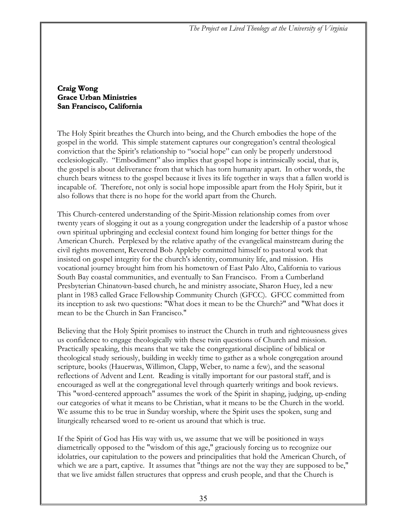#### **Craig Wong Grace Urban Ministries San Francisco, California**

The Holy Spirit breathes the Church into being, and the Church embodies the hope of the gospel in the world. This simple statement captures our congregation's central theological conviction that the Spirit's relationship to "social hope" can only be properly understood ecclesiologically. "Embodiment" also implies that gospel hope is intrinsically social, that is, the gospel is about deliverance from that which has torn humanity apart. In other words, the church bears witness to the gospel because it lives its life together in ways that a fallen world is incapable of. Therefore, not only is social hope impossible apart from the Holy Spirit, but it also follows that there is no hope for the world apart from the Church.

This Church-centered understanding of the Spirit-Mission relationship comes from over twenty years of slogging it out as a young congregation under the leadership of a pastor whose own spiritual upbringing and ecclesial context found him longing for better things for the American Church. Perplexed by the relative apathy of the evangelical mainstream during the civil rights movement, Reverend Bob Appleby committed himself to pastoral work that insisted on gospel integrity for the church's identity, community life, and mission. His vocational journey brought him from his hometown of East Palo Alto, California to various South Bay coastal communities, and eventually to San Francisco. From a Cumberland Presbyterian Chinatown-based church, he and ministry associate, Sharon Huey, led a new plant in 1983 called Grace Fellowship Community Church (GFCC). GFCC committed from its inception to ask two questions: "What does it mean to be the Church?" and "What does it mean to be the Church in San Francisco."

Believing that the Holy Spirit promises to instruct the Church in truth and righteousness gives us confidence to engage theologically with these twin questions of Church and mission. Practically speaking, this means that we take the congregational discipline of biblical or theological study seriously, building in weekly time to gather as a whole congregation around scripture, books (Hauerwas, Willimon, Clapp, Weber, to name a few), and the seasonal reflections of Advent and Lent. Reading is vitally important for our pastoral staff, and is encouraged as well at the congregational level through quarterly writings and book reviews. This "word-centered approach" assumes the work of the Spirit in shaping, judging, up-ending our categories of what it means to be Christian, what it means to be the Church in the world. We assume this to be true in Sunday worship, where the Spirit uses the spoken, sung and liturgically rehearsed word to re-orient us around that which is true.

If the Spirit of God has His way with us, we assume that we will be positioned in ways diametrically opposed to the "wisdom of this age," graciously forcing us to recognize our idolatries, our capitulation to the powers and principalities that hold the American Church, of which we are a part, captive. It assumes that "things are not the way they are supposed to be," that we live amidst fallen structures that oppress and crush people, and that the Church is